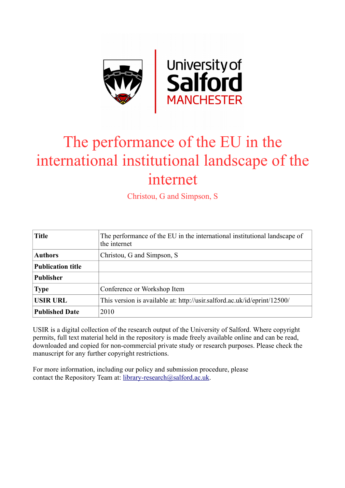

# The performance of the EU in the international institutional landscape of the internet

Christou, G and Simpson, S

| <b>Title</b>             | The performance of the EU in the international institutional landscape of<br>the internet |
|--------------------------|-------------------------------------------------------------------------------------------|
| <b>Authors</b>           | Christou, G and Simpson, S                                                                |
| <b>Publication title</b> |                                                                                           |
| <b>Publisher</b>         |                                                                                           |
| <b>Type</b>              | Conference or Workshop Item                                                               |
| <b>USIR URL</b>          | This version is available at: http://usir.salford.ac.uk/id/eprint/12500/                  |
| <b>Published Date</b>    | 2010                                                                                      |

USIR is a digital collection of the research output of the University of Salford. Where copyright permits, full text material held in the repository is made freely available online and can be read, downloaded and copied for non-commercial private study or research purposes. Please check the manuscript for any further copyright restrictions.

For more information, including our policy and submission procedure, please contact the Repository Team at: [library-research@salford.ac.uk.](mailto:library-research@salford.ac.uk)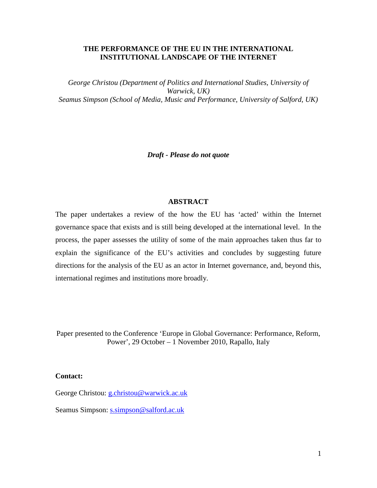# **THE PERFORMANCE OF THE EU IN THE INTERNATIONAL INSTITUTIONAL LANDSCAPE OF THE INTERNET**

*George Christou (Department of Politics and International Studies, University of Warwick, UK) Seamus Simpson (School of Media, Music and Performance, University of Salford, UK)*

*Draft - Please do not quote*

#### **ABSTRACT**

The paper undertakes a review of the how the EU has 'acted' within the Internet governance space that exists and is still being developed at the international level. In the process, the paper assesses the utility of some of the main approaches taken thus far to explain the significance of the EU's activities and concludes by suggesting future directions for the analysis of the EU as an actor in Internet governance, and, beyond this, international regimes and institutions more broadly.

Paper presented to the Conference 'Europe in Global Governance: Performance, Reform, Power', 29 October – 1 November 2010, Rapallo, Italy

#### **Contact:**

George Christou: [g.christou@warwick.ac.uk](mailto:g.christou@warwick.ac.uk)

Seamus Simpson: [s.simpson@salford.ac.uk](mailto:s.simpson@salford.ac.uk)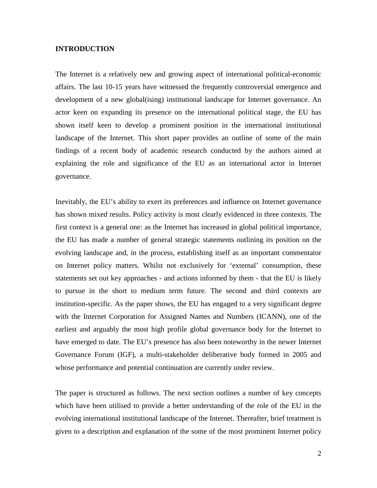### **INTRODUCTION**

The Internet is a relatively new and growing aspect of international political-economic affairs. The last 10-15 years have witnessed the frequently controversial emergence and development of a new global(ising) institutional landscape for Internet governance. An actor keen on expanding its presence on the international political stage, the EU has shown itself keen to develop a prominent position in the international institutional landscape of the Internet. This short paper provides an outline of some of the main findings of a recent body of academic research conducted by the authors aimed at explaining the role and significance of the EU as an international actor in Internet governance.

Inevitably, the EU's ability to exert its preferences and influence on Internet governance has shown mixed results. Policy activity is most clearly evidenced in three contexts. The first context is a general one: as the Internet has increased in global political importance, the EU has made a number of general strategic statements outlining its position on the evolving landscape and, in the process, establishing itself as an important commentator on Internet policy matters. Whilst not exclusively for 'external' consumption, these statements set out key approaches - and actions informed by them - that the EU is likely to pursue in the short to medium term future. The second and third contexts are institution-specific. As the paper shows, the EU has engaged to a very significant degree with the Internet Corporation for Assigned Names and Numbers (ICANN), one of the earliest and arguably the most high profile global governance body for the Internet to have emerged to date. The EU's presence has also been noteworthy in the newer Internet Governance Forum (IGF), a multi-stakeholder deliberative body formed in 2005 and whose performance and potential continuation are currently under review.

The paper is structured as follows. The next section outlines a number of key concepts which have been utilised to provide a better understanding of the role of the EU in the evolving international institutional landscape of the Internet. Thereafter, brief treatment is given to a description and explanation of the some of the most prominent Internet policy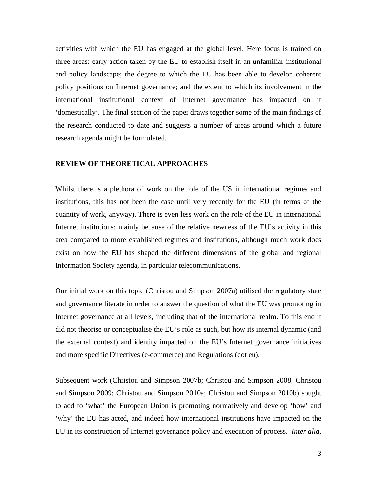activities with which the EU has engaged at the global level. Here focus is trained on three areas: early action taken by the EU to establish itself in an unfamiliar institutional and policy landscape; the degree to which the EU has been able to develop coherent policy positions on Internet governance; and the extent to which its involvement in the international institutional context of Internet governance has impacted on it 'domestically'. The final section of the paper draws together some of the main findings of the research conducted to date and suggests a number of areas around which a future research agenda might be formulated.

#### **REVIEW OF THEORETICAL APPROACHES**

Whilst there is a plethora of work on the role of the US in international regimes and institutions, this has not been the case until very recently for the EU (in terms of the quantity of work, anyway). There is even less work on the role of the EU in international Internet institutions; mainly because of the relative newness of the EU's activity in this area compared to more established regimes and institutions, although much work does exist on how the EU has shaped the different dimensions of the global and regional Information Society agenda, in particular telecommunications.

Our initial work on this topic (Christou and Simpson 2007a) utilised the regulatory state and governance literate in order to answer the question of what the EU was promoting in Internet governance at all levels, including that of the international realm. To this end it did not theorise or conceptualise the EU's role as such, but how its internal dynamic (and the external context) and identity impacted on the EU's Internet governance initiatives and more specific Directives (e-commerce) and Regulations (dot eu).

Subsequent work (Christou and Simpson 2007b; Christou and Simpson 2008; Christou and Simpson 2009; Christou and Simpson 2010a; Christou and Simpson 2010b) sought to add to 'what' the European Union is promoting normatively and develop 'how' and 'why' the EU has acted, and indeed how international institutions have impacted on the EU in its construction of Internet governance policy and execution of process. *Inter alia,*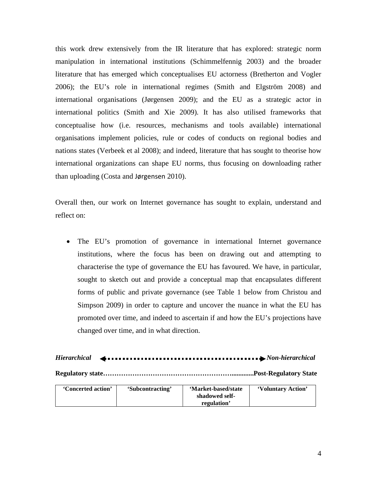this work drew extensively from the IR literature that has explored: strategic norm manipulation in international institutions (Schimmelfennig 2003) and the broader literature that has emerged which conceptualises EU actorness (Bretherton and Vogler 2006); the EU's role in international regimes (Smith and Elgström 2008) and international organisations (Jørgensen 2009); and the EU as a strategic actor in international politics (Smith and Xie 2009). It has also utilised frameworks that conceptualise how (i.e. resources, mechanisms and tools available) international organisations implement policies, rule or codes of conducts on regional bodies and nations states (Verbeek et al 2008); and indeed, literature that has sought to theorise how international organizations can shape EU norms, thus focusing on downloading rather than uploading (Costa and Jørgensen 2010).

Overall then, our work on Internet governance has sought to explain, understand and reflect on:

• The EU's promotion of governance in international Internet governance institutions, where the focus has been on drawing out and attempting to characterise the type of governance the EU has favoured. We have, in particular, sought to sketch out and provide a conceptual map that encapsulates different forms of public and private governance (see Table 1 below from Christou and Simpson 2009) in order to capture and uncover the nuance in what the EU has promoted over time, and indeed to ascertain if and how the EU's projections have changed over time, and in what direction.

*Hierarchical Non-hierarchical* **Regulatory state………………………………………………….............Post-Regulatory State**

| 'Concerted action' | 'Subcontracting' | 'Market-based/state | 'Voluntary Action' |
|--------------------|------------------|---------------------|--------------------|
|                    |                  | shadowed self-      |                    |
|                    |                  | regulation'         |                    |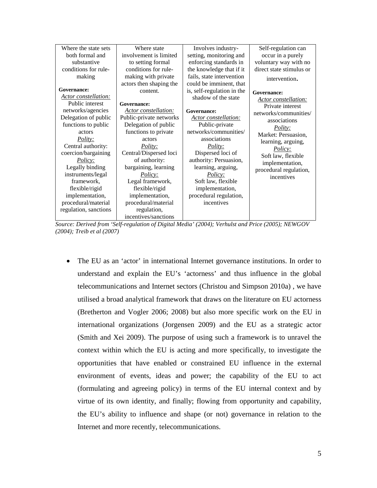| Where the state sets  | Where state             | Involves industry-         | Self-regulation can      |
|-----------------------|-------------------------|----------------------------|--------------------------|
| both formal and       | involvement is limited  | setting, monitoring and    | occur in a purely        |
| substantive           | to setting formal       | enforcing standards in     | voluntary way with no    |
| conditions for rule-  | conditions for rule-    | the knowledge that if it   | direct state stimulus or |
| making                | making with private     | fails, state intervention  | intervention.            |
|                       | actors then shaping the | could be imminent, that    |                          |
| Governance:           | content.                | is, self-regulation in the | Governance:              |
| Actor constellation:  |                         | shadow of the state        | Actor constellation:     |
| Public interest       | Governance:             |                            | Private interest         |
| networks/agencies     | Actor constellation:    | Governance:                | networks/communities/    |
| Delegation of public  | Public-private networks | Actor constellation:       | associations             |
| functions to public   | Delegation of public    | Public-private             | <i>Polity:</i>           |
| actors                | functions to private    | networks/communities/      | Market: Persuasion,      |
| <i>Polity:</i>        | actors                  | associations               | learning, arguing,       |
| Central authority:    | <i>Polity:</i>          | <i>Polity:</i>             | <i>Policy:</i>           |
| coercion/bargaining   | Central/Dispersed loci  | Dispersed loci of          | Soft law, flexible       |
| Policy:               | of authority:           | authority: Persuasion,     | implementation,          |
| Legally binding       | bargaining, learning    | learning, arguing,         | procedural regulation,   |
| instruments/legal     | <i>Policy:</i>          | <i>Policy:</i>             | incentives               |
| framework,            | Legal framework,        | Soft law, flexible         |                          |
| flexible/rigid        | flexible/rigid          | implementation,            |                          |
| implementation,       | implementation,         | procedural regulation,     |                          |
| procedural/material   | procedural/material     | incentives                 |                          |
| regulation, sanctions | regulation,             |                            |                          |
|                       | incentives/sanctions    |                            |                          |

*Source: Derived from 'Self-regulation of Digital Media' (2004); Verhulst and Price (2005); NEWGOV (2004); Treib et al (2007)* 

• The EU as an 'actor' in international Internet governance institutions. In order to understand and explain the EU's 'actorness' and thus influence in the global telecommunications and Internet sectors (Christou and Simpson 2010a) , we have utilised a broad analytical framework that draws on the literature on EU actorness (Bretherton and Vogler 2006; 2008) but also more specific work on the EU in international organizations (Jorgensen 2009) and the EU as a strategic actor (Smith and Xei 2009). The purpose of using such a framework is to unravel the context within which the EU is acting and more specifically, to investigate the opportunities that have enabled or constrained EU influence in the external environment of events, ideas and power; the capability of the EU to act (formulating and agreeing policy) in terms of the EU internal context and by virtue of its own identity, and finally; flowing from opportunity and capability, the EU's ability to influence and shape (or not) governance in relation to the Internet and more recently, telecommunications.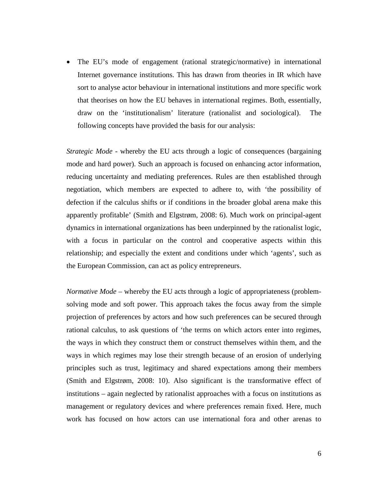• The EU's mode of engagement (rational strategic/normative) in international Internet governance institutions. This has drawn from theories in IR which have sort to analyse actor behaviour in international institutions and more specific work that theorises on how the EU behaves in international regimes. Both, essentially, draw on the 'institutionalism' literature (rationalist and sociological). The following concepts have provided the basis for our analysis:

*Strategic Mode -* whereby the EU acts through a logic of consequences (bargaining mode and hard power). Such an approach is focused on enhancing actor information, reducing uncertainty and mediating preferences. Rules are then established through negotiation, which members are expected to adhere to, with 'the possibility of defection if the calculus shifts or if conditions in the broader global arena make this apparently profitable' (Smith and Elgstrøm, 2008: 6). Much work on principal-agent dynamics in international organizations has been underpinned by the rationalist logic, with a focus in particular on the control and cooperative aspects within this relationship; and especially the extent and conditions under which 'agents', such as the European Commission, can act as policy entrepreneurs.

*Normative Mode* – whereby the EU acts through a logic of appropriateness (problemsolving mode and soft power. This approach takes the focus away from the simple projection of preferences by actors and how such preferences can be secured through rational calculus, to ask questions of 'the terms on which actors enter into regimes, the ways in which they construct them or construct themselves within them, and the ways in which regimes may lose their strength because of an erosion of underlying principles such as trust, legitimacy and shared expectations among their members (Smith and Elgstrøm, 2008: 10). Also significant is the transformative effect of institutions – again neglected by rationalist approaches with a focus on institutions as management or regulatory devices and where preferences remain fixed. Here, much work has focused on how actors can use international fora and other arenas to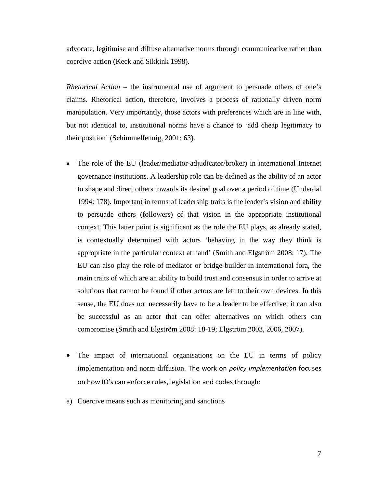advocate, legitimise and diffuse alternative norms through communicative rather than coercive action (Keck and Sikkink 1998).

*Rhetorical Action* – the instrumental use of argument to persuade others of one's claims. Rhetorical action, therefore, involves a process of rationally driven norm manipulation. Very importantly, those actors with preferences which are in line with, but not identical to, institutional norms have a chance to 'add cheap legitimacy to their position' (Schimmelfennig, 2001: 63).

- The role of the EU (leader/mediator-adjudicator/broker) in international Internet governance institutions. A leadership role can be defined as the ability of an actor to shape and direct others towards its desired goal over a period of time (Underdal 1994: 178). Important in terms of leadership traits is the leader's vision and ability to persuade others (followers) of that vision in the appropriate institutional context. This latter point is significant as the role the EU plays, as already stated, is contextually determined with actors 'behaving in the way they think is appropriate in the particular context at hand' (Smith and Elgström 2008: 17). The EU can also play the role of mediator or bridge-builder in international fora, the main traits of which are an ability to build trust and consensus in order to arrive at solutions that cannot be found if other actors are left to their own devices. In this sense, the EU does not necessarily have to be a leader to be effective; it can also be successful as an actor that can offer alternatives on which others can compromise (Smith and Elgström 2008: 18-19; Elgström 2003, 2006, 2007).
- The impact of international organisations on the EU in terms of policy implementation and norm diffusion. The work on *policy implementation* focuses on how IO's can enforce rules, legislation and codes through:
- a) Coercive means such as monitoring and sanctions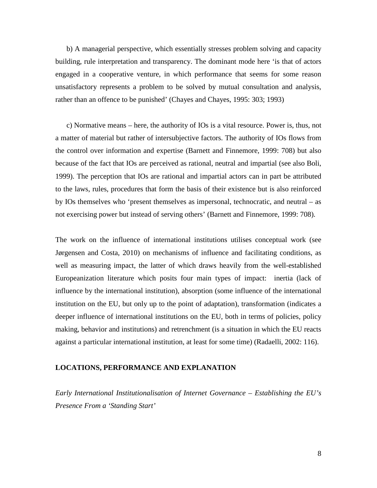b) A managerial perspective, which essentially stresses problem solving and capacity building, rule interpretation and transparency. The dominant mode here 'is that of actors engaged in a cooperative venture, in which performance that seems for some reason unsatisfactory represents a problem to be solved by mutual consultation and analysis, rather than an offence to be punished' (Chayes and Chayes, 1995: 303; 1993)

c) Normative means – here, the authority of IOs is a vital resource. Power is, thus, not a matter of material but rather of intersubjective factors. The authority of IOs flows from the control over information and expertise (Barnett and Finnemore, 1999: 708) but also because of the fact that IOs are perceived as rational, neutral and impartial (see also Boli, 1999). The perception that IOs are rational and impartial actors can in part be attributed to the laws, rules, procedures that form the basis of their existence but is also reinforced by IOs themselves who 'present themselves as impersonal, technocratic, and neutral – as not exercising power but instead of serving others' (Barnett and Finnemore, 1999: 708).

The work on the influence of international institutions utilises conceptual work (see Jørgensen and Costa, 2010) on mechanisms of influence and facilitating conditions, as well as measuring impact, the latter of which draws heavily from the well-established Europeanization literature which posits four main types of impact: inertia (lack of influence by the international institution), absorption (some influence of the international institution on the EU, but only up to the point of adaptation), transformation (indicates a deeper influence of international institutions on the EU, both in terms of policies, policy making, behavior and institutions) and retrenchment (is a situation in which the EU reacts against a particular international institution, at least for some time) (Radaelli, 2002: 116).

#### **LOCATIONS, PERFORMANCE AND EXPLANATION**

*Early International Institutionalisation of Internet Governance – Establishing the EU's Presence From a 'Standing Start'*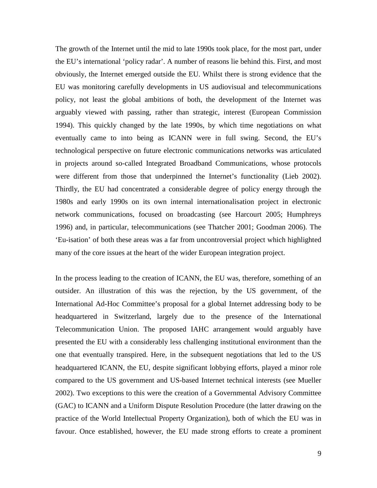The growth of the Internet until the mid to late 1990s took place, for the most part, under the EU's international 'policy radar'. A number of reasons lie behind this. First, and most obviously, the Internet emerged outside the EU. Whilst there is strong evidence that the EU was monitoring carefully developments in US audiovisual and telecommunications policy, not least the global ambitions of both, the development of the Internet was arguably viewed with passing, rather than strategic, interest (European Commission 1994). This quickly changed by the late 1990s, by which time negotiations on what eventually came to into being as ICANN were in full swing. Second, the EU's technological perspective on future electronic communications networks was articulated in projects around so-called Integrated Broadband Communications, whose protocols were different from those that underpinned the Internet's functionality (Lieb 2002). Thirdly, the EU had concentrated a considerable degree of policy energy through the 1980s and early 1990s on its own internal internationalisation project in electronic network communications, focused on broadcasting (see Harcourt 2005; Humphreys 1996) and, in particular, telecommunications (see Thatcher 2001; Goodman 2006). The 'Eu-isation' of both these areas was a far from uncontroversial project which highlighted many of the core issues at the heart of the wider European integration project.

In the process leading to the creation of ICANN, the EU was, therefore, something of an outsider. An illustration of this was the rejection, by the US government, of the International Ad-Hoc Committee's proposal for a global Internet addressing body to be headquartered in Switzerland, largely due to the presence of the International Telecommunication Union. The proposed IAHC arrangement would arguably have presented the EU with a considerably less challenging institutional environment than the one that eventually transpired. Here, in the subsequent negotiations that led to the US headquartered ICANN, the EU, despite significant lobbying efforts, played a minor role compared to the US government and US-based Internet technical interests (see Mueller 2002). Two exceptions to this were the creation of a Governmental Advisory Committee (GAC) to ICANN and a Uniform Dispute Resolution Procedure (the latter drawing on the practice of the World Intellectual Property Organization), both of which the EU was in favour. Once established, however, the EU made strong efforts to create a prominent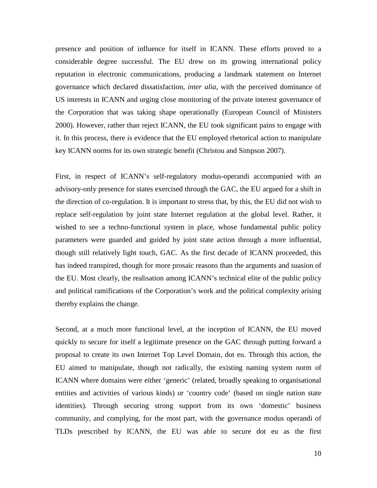presence and position of influence for itself in ICANN. These efforts proved to a considerable degree successful. The EU drew on its growing international policy reputation in electronic communications, producing a landmark statement on Internet governance which declared dissatisfaction, *inter alia*, with the perceived dominance of US interests in ICANN and urging close monitoring of the private interest governance of the Corporation that was taking shape operationally (European Council of Ministers 2000). However, rather than reject ICANN, the EU took significant pains to engage with it. In this process, there is evidence that the EU employed rhetorical action to manipulate key ICANN norms for its own strategic benefit (Christou and Simpson 2007).

First, in respect of ICANN's self-regulatory modus-operandi accompanied with an advisory-only presence for states exercised through the GAC, the EU argued for a shift in the direction of co-regulation. It is important to stress that, by this, the EU did not wish to replace self-regulation by joint state Internet regulation at the global level. Rather, it wished to see a techno-functional system in place, whose fundamental public policy parameters were guarded and guided by joint state action through a more influential, though still relatively light touch, GAC. As the first decade of ICANN proceeded, this has indeed transpired, though for more prosaic reasons than the arguments and suasion of the EU. Most clearly, the realisation among ICANN's technical elite of the public policy and political ramifications of the Corporation's work and the political complexity arising thereby explains the change.

Second, at a much more functional level, at the inception of ICANN, the EU moved quickly to secure for itself a legitimate presence on the GAC through putting forward a proposal to create its own Internet Top Level Domain, dot eu. Through this action, the EU aimed to manipulate, though not radically, the existing naming system norm of ICANN where domains were either 'generic' (related, broadly speaking to organisational entities and activities of various kinds) or 'country code' (based on single nation state identities). Through securing strong support from its own 'domestic' business community, and complying, for the most part, with the governance modus operandi of TLDs prescribed by ICANN, the EU was able to secure dot eu as the first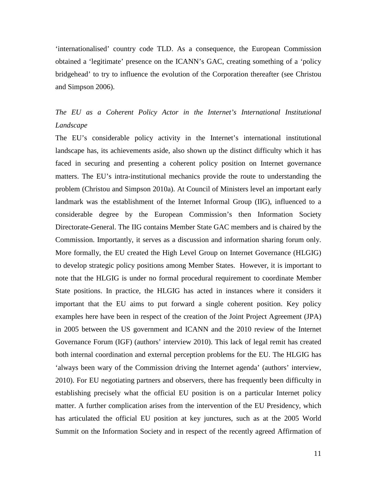'internationalised' country code TLD. As a consequence, the European Commission obtained a 'legitimate' presence on the ICANN's GAC, creating something of a 'policy bridgehead' to try to influence the evolution of the Corporation thereafter (see Christou and Simpson 2006).

# *The EU as a Coherent Policy Actor in the Internet's International Institutional Landscape*

The EU's considerable policy activity in the Internet's international institutional landscape has, its achievements aside, also shown up the distinct difficulty which it has faced in securing and presenting a coherent policy position on Internet governance matters. The EU's intra-institutional mechanics provide the route to understanding the problem (Christou and Simpson 2010a). At Council of Ministers level an important early landmark was the establishment of the Internet Informal Group (IIG), influenced to a considerable degree by the European Commission's then Information Society Directorate-General. The IIG contains Member State GAC members and is chaired by the Commission. Importantly, it serves as a discussion and information sharing forum only. More formally, the EU created the High Level Group on Internet Governance (HLGIG) to develop strategic policy positions among Member States. However, it is important to note that the HLGIG is under no formal procedural requirement to coordinate Member State positions. In practice, the HLGIG has acted in instances where it considers it important that the EU aims to put forward a single coherent position. Key policy examples here have been in respect of the creation of the Joint Project Agreement (JPA) in 2005 between the US government and ICANN and the 2010 review of the Internet Governance Forum (IGF) (authors' interview 2010). This lack of legal remit has created both internal coordination and external perception problems for the EU. The HLGIG has 'always been wary of the Commission driving the Internet agenda' (authors' interview, 2010). For EU negotiating partners and observers, there has frequently been difficulty in establishing precisely what the official EU position is on a particular Internet policy matter. A further complication arises from the intervention of the EU Presidency, which has articulated the official EU position at key junctures, such as at the 2005 World Summit on the Information Society and in respect of the recently agreed Affirmation of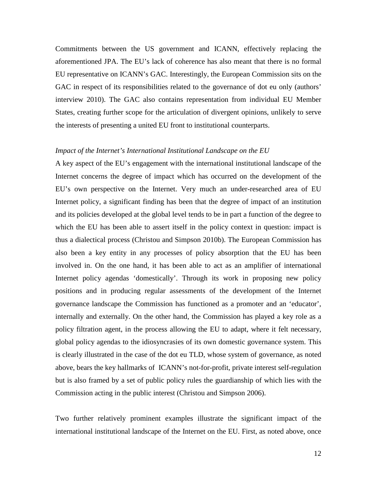Commitments between the US government and ICANN, effectively replacing the aforementioned JPA. The EU's lack of coherence has also meant that there is no formal EU representative on ICANN's GAC. Interestingly, the European Commission sits on the GAC in respect of its responsibilities related to the governance of dot eu only (authors' interview 2010). The GAC also contains representation from individual EU Member States, creating further scope for the articulation of divergent opinions, unlikely to serve the interests of presenting a united EU front to institutional counterparts.

#### *Impact of the Internet's International Institutional Landscape on the EU*

A key aspect of the EU's engagement with the international institutional landscape of the Internet concerns the degree of impact which has occurred on the development of the EU's own perspective on the Internet. Very much an under-researched area of EU Internet policy, a significant finding has been that the degree of impact of an institution and its policies developed at the global level tends to be in part a function of the degree to which the EU has been able to assert itself in the policy context in question: impact is thus a dialectical process (Christou and Simpson 2010b). The European Commission has also been a key entity in any processes of policy absorption that the EU has been involved in. On the one hand, it has been able to act as an amplifier of international Internet policy agendas 'domestically'. Through its work in proposing new policy positions and in producing regular assessments of the development of the Internet governance landscape the Commission has functioned as a promoter and an 'educator', internally and externally. On the other hand, the Commission has played a key role as a policy filtration agent, in the process allowing the EU to adapt, where it felt necessary, global policy agendas to the idiosyncrasies of its own domestic governance system. This is clearly illustrated in the case of the dot eu TLD, whose system of governance, as noted above, bears the key hallmarks of ICANN's not-for-profit, private interest self-regulation but is also framed by a set of public policy rules the guardianship of which lies with the Commission acting in the public interest (Christou and Simpson 2006).

Two further relatively prominent examples illustrate the significant impact of the international institutional landscape of the Internet on the EU. First, as noted above, once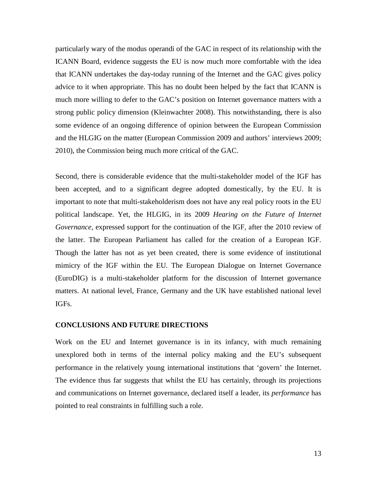particularly wary of the modus operandi of the GAC in respect of its relationship with the ICANN Board, evidence suggests the EU is now much more comfortable with the idea that ICANN undertakes the day-today running of the Internet and the GAC gives policy advice to it when appropriate. This has no doubt been helped by the fact that ICANN is much more willing to defer to the GAC's position on Internet governance matters with a strong public policy dimension (Kleinwachter 2008). This notwithstanding, there is also some evidence of an ongoing difference of opinion between the European Commission and the HLGIG on the matter (European Commission 2009 and authors' interviews 2009; 2010), the Commission being much more critical of the GAC.

Second, there is considerable evidence that the multi-stakeholder model of the IGF has been accepted, and to a significant degree adopted domestically, by the EU. It is important to note that multi-stakeholderism does not have any real policy roots in the EU political landscape. Yet, the HLGIG, in its 2009 *Hearing on the Future of Internet Governance*, expressed support for the continuation of the IGF, after the 2010 review of the latter. The European Parliament has called for the creation of a European IGF. Though the latter has not as yet been created, there is some evidence of institutional mimicry of the IGF within the EU. The European Dialogue on Internet Governance (EuroDIG) is a multi-stakeholder platform for the discussion of Internet governance matters. At national level, France, Germany and the UK have established national level IGFs.

#### **CONCLUSIONS AND FUTURE DIRECTIONS**

Work on the EU and Internet governance is in its infancy, with much remaining unexplored both in terms of the internal policy making and the EU's subsequent performance in the relatively young international institutions that 'govern' the Internet. The evidence thus far suggests that whilst the EU has certainly, through its projections and communications on Internet governance, declared itself a leader, its *performance* has pointed to real constraints in fulfilling such a role.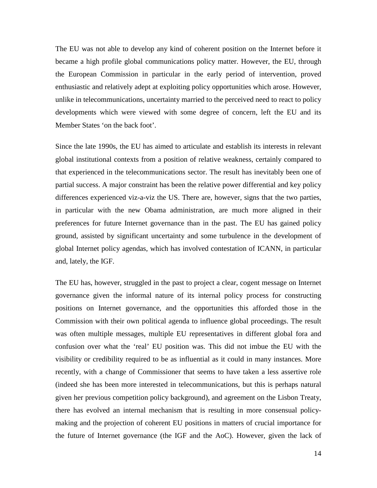The EU was not able to develop any kind of coherent position on the Internet before it became a high profile global communications policy matter. However, the EU, through the European Commission in particular in the early period of intervention, proved enthusiastic and relatively adept at exploiting policy opportunities which arose. However, unlike in telecommunications, uncertainty married to the perceived need to react to policy developments which were viewed with some degree of concern, left the EU and its Member States 'on the back foot'.

Since the late 1990s, the EU has aimed to articulate and establish its interests in relevant global institutional contexts from a position of relative weakness, certainly compared to that experienced in the telecommunications sector. The result has inevitably been one of partial success. A major constraint has been the relative power differential and key policy differences experienced viz-a-viz the US. There are, however, signs that the two parties, in particular with the new Obama administration, are much more aligned in their preferences for future Internet governance than in the past. The EU has gained policy ground, assisted by significant uncertainty and some turbulence in the development of global Internet policy agendas, which has involved contestation of ICANN, in particular and, lately, the IGF.

The EU has, however, struggled in the past to project a clear, cogent message on Internet governance given the informal nature of its internal policy process for constructing positions on Internet governance, and the opportunities this afforded those in the Commission with their own political agenda to influence global proceedings. The result was often multiple messages, multiple EU representatives in different global fora and confusion over what the 'real' EU position was. This did not imbue the EU with the visibility or credibility required to be as influential as it could in many instances. More recently, with a change of Commissioner that seems to have taken a less assertive role (indeed she has been more interested in telecommunications, but this is perhaps natural given her previous competition policy background), and agreement on the Lisbon Treaty, there has evolved an internal mechanism that is resulting in more consensual policymaking and the projection of coherent EU positions in matters of crucial importance for the future of Internet governance (the IGF and the AoC). However, given the lack of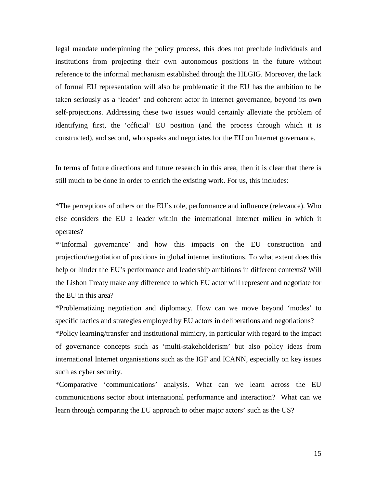legal mandate underpinning the policy process, this does not preclude individuals and institutions from projecting their own autonomous positions in the future without reference to the informal mechanism established through the HLGIG. Moreover, the lack of formal EU representation will also be problematic if the EU has the ambition to be taken seriously as a 'leader' and coherent actor in Internet governance, beyond its own self-projections. Addressing these two issues would certainly alleviate the problem of identifying first, the 'official' EU position (and the process through which it is constructed), and second, who speaks and negotiates for the EU on Internet governance.

In terms of future directions and future research in this area, then it is clear that there is still much to be done in order to enrich the existing work. For us, this includes:

\*The perceptions of others on the EU's role, performance and influence (relevance). Who else considers the EU a leader within the international Internet milieu in which it operates?

\*'Informal governance' and how this impacts on the EU construction and projection/negotiation of positions in global internet institutions. To what extent does this help or hinder the EU's performance and leadership ambitions in different contexts? Will the Lisbon Treaty make any difference to which EU actor will represent and negotiate for the EU in this area?

\*Problematizing negotiation and diplomacy. How can we move beyond 'modes' to specific tactics and strategies employed by EU actors in deliberations and negotiations?

\*Policy learning/transfer and institutional mimicry, in particular with regard to the impact of governance concepts such as 'multi-stakeholderism' but also policy ideas from international Internet organisations such as the IGF and ICANN, especially on key issues such as cyber security.

\*Comparative 'communications' analysis. What can we learn across the EU communications sector about international performance and interaction? What can we learn through comparing the EU approach to other major actors' such as the US?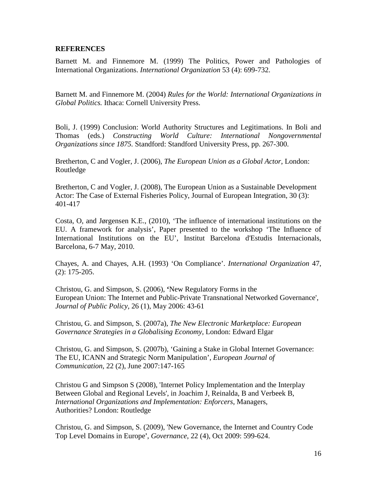## **REFERENCES**

Barnett M. and Finnemore M. (1999) The Politics, Power and Pathologies of International Organizations. *International Organization* 53 (4): 699-732.

Barnett M. and Finnemore M. (2004) *Rules for the World: International Organizations in Global Politics.* Ithaca: Cornell University Press.

Boli, J. (1999) Conclusion: World Authority Structures and Legitimations. In Boli and Thomas (eds.) *Constructing World Culture: International Nongovernmental Organizations since 1875.* Standford: Standford University Press, pp. 267-300.

Bretherton, C and Vogler, J. (2006), *The European Union as a Global Actor*, London: Routledge

Bretherton, C and Vogler, J. (2008), The European Union as a Sustainable Development Actor: The Case of External Fisheries Policy, Journal of European Integration, 30 (3): 401-417

Costa, O, and Jørgensen K.E., (2010), 'The influence of international institutions on the EU. A framework for analysis', Paper presented to the workshop 'The Influence of International Institutions on the EU', Institut Barcelona d'Estudis Internacionals, Barcelona, 6-7 May, 2010.

Chayes, A. and Chayes, A.H. (1993) 'On Compliance'. *International Organization* 47, (2): 175-205.

Christou, G. and Simpson, S. (2006), **'**New Regulatory Forms in the European Union: The Internet and Public-Private Transnational Networked Governance', *Journal of Public Policy,* 26 (1), May 2006: 43-61

Christou, G. and Simpson, S. (2007a), *The New Electronic Marketplace: European Governance Strategies in a Globalising Economy*, London: Edward Elgar

Christou, G. and Simpson, S. (2007b), 'Gaining a Stake in Global Internet Governance: The EU, ICANN and Strategic Norm Manipulation', *European Journal of Communication*, 22 (2), June 2007:147-165

Christou G and Simpson S (2008), 'Internet Policy Implementation and the Interplay Between Global and Regional Levels', in Joachim J, Reinalda, B and Verbeek B, *International Organizations and Implementation: Enforcers*, Managers, Authorities? London: Routledge

Christou, G. and Simpson, S. (2009), 'New Governance, the Internet and Country Code Top Level Domains in Europe**'**, *Governance*, 22 (4), Oct 2009: 599-624.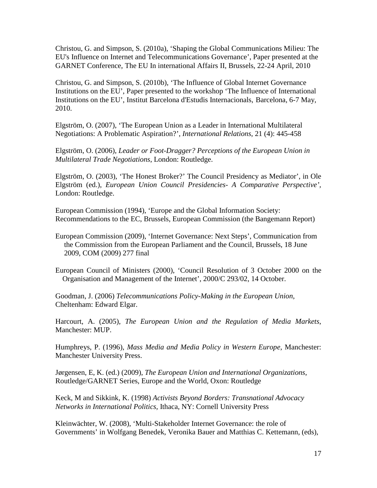Christou, G. and Simpson, S. (2010a), 'Shaping the Global Communications Milieu: The EU's Influence on Internet and Telecommunications Governance', Paper presented at the GARNET Conference, The EU In international Affairs II, Brussels, 22-24 April, 2010

Christou, G. and Simpson, S. (2010b), 'The Influence of Global Internet Governance Institutions on the EU', Paper presented to the workshop 'The Influence of International Institutions on the EU', Institut Barcelona d'Estudis Internacionals, Barcelona, 6-7 May, 2010.

Elgström, O. (2007), 'The European Union as a Leader in International Multilateral Negotiations: A Problematic Aspiration?', *International Relations*, 21 (4): 445-458

Elgström, O. (2006), *Leader or Foot-Dragger? Perceptions of the European Union in Multilateral Trade Negotiations*, London: Routledge.

Elgström, O. (2003), 'The Honest Broker?' The Council Presidency as Mediator', in Ole Elgström (ed.), *European Union Council Presidencies- A Comparative Perspective',*  London: Routledge.

European Commission (1994), 'Europe and the Global Information Society: Recommendations to the EC, Brussels, European Commission (the Bangemann Report)

European Council of Ministers (2000), 'Council Resolution of 3 October 2000 on the Organisation and Management of the Internet', 2000/C 293/02, 14 October.

Goodman, J. (2006) *Telecommunications Policy-Making in the European Union*, Cheltenham: Edward Elgar.

Harcourt, A. (2005), *The European Union and the Regulation of Media Markets*, Manchester: MUP.

Humphreys, P. (1996), *Mass Media and Media Policy in Western Europe*, Manchester: Manchester University Press.

Jørgensen, E, K. (ed.) (2009), *The European Union and International Organizations*, Routledge/GARNET Series, Europe and the World, Oxon: Routledge

Keck, M and Sikkink, K. (1998) *Activists Beyond Borders: Transnational Advocacy Networks in International Politics,* Ithaca, NY: Cornell University Press

Kleinwächter, W. (2008), 'Multi-Stakeholder Internet Governance: the role of Governments' in Wolfgang Benedek, Veronika Bauer and Matthias C. Kettemann, (eds),

European Commission (2009), 'Internet Governance: Next Steps', Communication from the Commission from the European Parliament and the Council, Brussels, 18 June 2009, COM (2009) 277 final